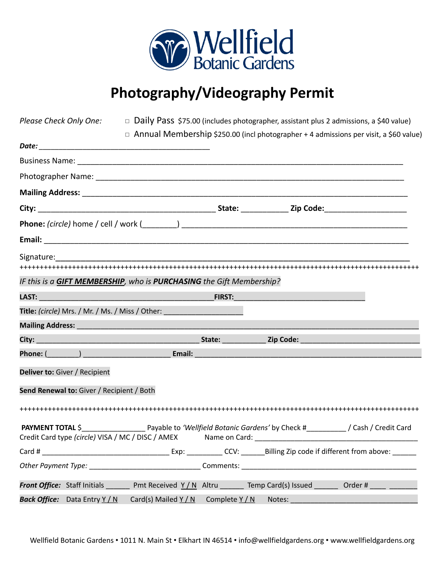

## **Photography/Videography Permit**

|                                           |                                                                                                                                                                                                                                |                                                                                                                                                                                                                                | <i>Please Check Only One:</i> $\Box$ Daily Pass \$75.00 (includes photographer, assistant plus 2 admissions, a \$40 value) |
|-------------------------------------------|--------------------------------------------------------------------------------------------------------------------------------------------------------------------------------------------------------------------------------|--------------------------------------------------------------------------------------------------------------------------------------------------------------------------------------------------------------------------------|----------------------------------------------------------------------------------------------------------------------------|
|                                           |                                                                                                                                                                                                                                |                                                                                                                                                                                                                                | $\Box$ Annual Membership \$250.00 (incl photographer + 4 admissions per visit, a \$60 value)                               |
|                                           |                                                                                                                                                                                                                                |                                                                                                                                                                                                                                |                                                                                                                            |
|                                           |                                                                                                                                                                                                                                |                                                                                                                                                                                                                                |                                                                                                                            |
|                                           |                                                                                                                                                                                                                                |                                                                                                                                                                                                                                |                                                                                                                            |
|                                           |                                                                                                                                                                                                                                |                                                                                                                                                                                                                                |                                                                                                                            |
|                                           |                                                                                                                                                                                                                                |                                                                                                                                                                                                                                |                                                                                                                            |
|                                           |                                                                                                                                                                                                                                |                                                                                                                                                                                                                                |                                                                                                                            |
|                                           |                                                                                                                                                                                                                                |                                                                                                                                                                                                                                |                                                                                                                            |
|                                           |                                                                                                                                                                                                                                |                                                                                                                                                                                                                                |                                                                                                                            |
|                                           |                                                                                                                                                                                                                                |                                                                                                                                                                                                                                |                                                                                                                            |
|                                           | IF this is a GIFT MEMBERSHIP, who is PURCHASING the Gift Membership?                                                                                                                                                           |                                                                                                                                                                                                                                |                                                                                                                            |
|                                           |                                                                                                                                                                                                                                |                                                                                                                                                                                                                                |                                                                                                                            |
|                                           | Title: <i>(circle)</i> Mrs. / Mr. / Ms. / Miss / Other: ______________________________                                                                                                                                         |                                                                                                                                                                                                                                |                                                                                                                            |
|                                           | Mailing Address: National Address: National Address: National Address: National Address: National Address: National Address: National Address: National Address: National Address: National Address: National Address: Nationa |                                                                                                                                                                                                                                |                                                                                                                            |
|                                           |                                                                                                                                                                                                                                |                                                                                                                                                                                                                                |                                                                                                                            |
|                                           | Phone: (executive contract of the contract of the contract of the contract of the contract of the contract of the contract of the contract of the contract of the contract of the contract of the contract of the contract of  |                                                                                                                                                                                                                                |                                                                                                                            |
| Deliver to: Giver / Recipient             |                                                                                                                                                                                                                                |                                                                                                                                                                                                                                |                                                                                                                            |
| Send Renewal to: Giver / Recipient / Both |                                                                                                                                                                                                                                |                                                                                                                                                                                                                                |                                                                                                                            |
|                                           |                                                                                                                                                                                                                                |                                                                                                                                                                                                                                |                                                                                                                            |
|                                           |                                                                                                                                                                                                                                |                                                                                                                                                                                                                                | PAYMENT TOTAL \$ Payable to 'Wellfield Botanic Gardens' by Check # / Cash / Credit Card                                    |
|                                           |                                                                                                                                                                                                                                |                                                                                                                                                                                                                                |                                                                                                                            |
|                                           | Other Payment Type: Comments:                                                                                                                                                                                                  |                                                                                                                                                                                                                                |                                                                                                                            |
|                                           |                                                                                                                                                                                                                                |                                                                                                                                                                                                                                | <b>Front Office:</b> Staff Initials 200 Pmt Received $Y/N$ Altru 2011 Temp Card(s) Issued 2012 Order #                     |
| Back Office: Data Entry Y / N             | Card(s) Mailed $Y/N$ Complete $Y/N$                                                                                                                                                                                            | Notes: and the state of the state of the state of the state of the state of the state of the state of the state of the state of the state of the state of the state of the state of the state of the state of the state of the |                                                                                                                            |

Wellfield Botanic Gardens • 1011 N. Main St • Elkhart IN 46514 • info@wellfieldgardens.org • www.wellfieldgardens.org